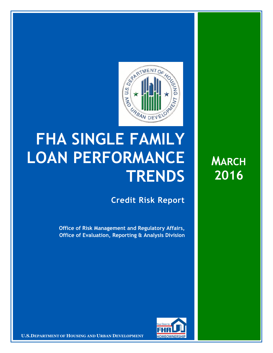

## **FHA SINGLE FAMILY LOAN PERFORMANCE TRENDS**

**Credit Risk Report**

**Office of Risk Management and Regulatory Affairs, Office of Evaluation, Reporting & Analysis Division** 



**U.S.DEPARTMENT OF HOUSING AND URBAN DEVELOPMENT <b>FOMEOWNERSHIP** 

**MARCH 2016**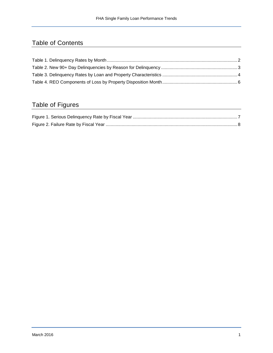## Table of Contents

## Table of Figures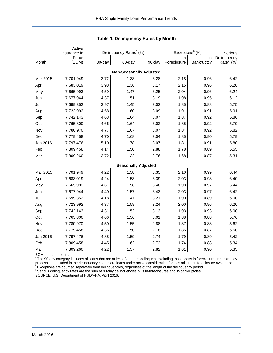|                                | Active<br>Insurance in | Delinquency Rates <sup>a</sup> (%) |                            |        | Exceptions <sup>b</sup> $(%)$ | Serious    |                       |  |  |  |  |
|--------------------------------|------------------------|------------------------------------|----------------------------|--------|-------------------------------|------------|-----------------------|--|--|--|--|
|                                | Force                  |                                    |                            |        | In.                           | In         | Delinquency           |  |  |  |  |
| Month                          | (EOM)                  | 30-day                             | 60-day                     | 90-day | Foreclosure                   | Bankruptcy | Rate <sup>c</sup> (%) |  |  |  |  |
| <b>Non-Seasonally Adjusted</b> |                        |                                    |                            |        |                               |            |                       |  |  |  |  |
| Mar 2015                       | 7,701,949              | 3.72                               | 1.33                       | 3.28   | 2.18                          | 0.96       | 6.42                  |  |  |  |  |
| Apr                            | 7,683,019              | 3.98                               | 1.36                       | 3.17   | 2.15                          | 0.96       | 6.28                  |  |  |  |  |
| May                            | 7,665,993              | 4.59                               | 1.47                       | 3.25   | 2.04                          | 0.96       | 6.24                  |  |  |  |  |
| Jun                            | 7,677,944              | 4.37                               | 1.51                       | 3.19   | 1.98                          | 0.95       | 6.12                  |  |  |  |  |
| Jul                            | 7,699,352              | 3.97                               | 1.45                       | 3.02   | 1.85                          | 0.88       | 5.75                  |  |  |  |  |
| Aug                            | 7,723,992              | 4.58                               | 1.60                       | 3.09   | 1.91                          | 0.91       | 5.91                  |  |  |  |  |
| Sep                            | 7,742,143              | 4.63                               | 1.64                       | 3.07   | 1.87                          | 0.92       | 5.86                  |  |  |  |  |
| Oct                            | 7,765,800              | 4.66                               | 1.64                       | 3.02   | 1.85                          | 0.92       | 5.79                  |  |  |  |  |
| Nov                            | 7,780,970              | 4.77                               | 1.67                       | 3.07   | 1.84                          | 0.92       | 5.82                  |  |  |  |  |
| Dec                            | 7,779,458              | 4.70                               | 1.68                       | 3.04   | 1.85                          | 0.90       | 5.79                  |  |  |  |  |
| Jan 2016                       | 7,797,476              | 5.10                               | 1.78                       | 3.07   | 1.81                          | 0.91       | 5.80                  |  |  |  |  |
| Feb                            | 7,809,458              | 4.14                               | 1.50                       | 2.88   | 1.78                          | 0.89       | 5.55                  |  |  |  |  |
| Mar                            | 7,809,260              | 3.72                               | 1.32                       | 2.76   | 1.68                          | 0.87       | 5.31                  |  |  |  |  |
|                                |                        |                                    | <b>Seasonally Adjusted</b> |        |                               |            |                       |  |  |  |  |
| Mar 2015                       | 7,701,949              | 4.22                               | 1.58                       | 3.35   | 2.10                          | 0.99       | 6.44                  |  |  |  |  |
| Apr                            | 7,683,019              | 4.24                               | 1.53                       | 3.39   | 2.03                          | 0.98       | 6.40                  |  |  |  |  |
| May                            | 7,665,993              | 4.61                               | 1.58                       | 3.48   | 1.98                          | 0.97       | 6.44                  |  |  |  |  |
| Jun                            | 7,677,944              | 4.40                               | 1.57                       | 3.43   | 2.03                          | 0.97       | 6.42                  |  |  |  |  |
| Jul                            | 7,699,352              | 4.18                               | 1.47                       | 3.21   | 1.90                          | 0.89       | 6.00                  |  |  |  |  |
| Aug                            | 7,723,992              | 4.37                               | 1.58                       | 3.24   | 2.00                          | 0.96       | 6.20                  |  |  |  |  |
| Sep                            | 7,742,143              | 4.31                               | 1.52                       | 3.13   | 1.93                          | 0.93       | 6.00                  |  |  |  |  |
| Oct                            | 7,765,800              | 4.66                               | 1.56                       | 3.01   | 1.88                          | 0.88       | 5.76                  |  |  |  |  |
| Nov                            | 7,780,970              | 4.50                               | 1.55                       | 2.88   | 1.87                          | 0.88       | 5.62                  |  |  |  |  |
| Dec                            | 7,779,458              | 4.36                               | 1.50                       | 2.78   | 1.85                          | 0.87       | 5.50                  |  |  |  |  |
| Jan 2016                       | 7,797,476              | 4.88                               | 1.59                       | 2.74   | 1.79                          | 0.89       | 5.42                  |  |  |  |  |
| Feb                            | 7,809,458              | 4.45                               | 1.62                       | 2.72   | 1.74                          | 0.88       | 5.34                  |  |  |  |  |
| Mar                            | 7,809,260              | 4.22                               | 1.57                       | 2.82   | 1.61                          | 0.90       | 5.33                  |  |  |  |  |

<span id="page-2-0"></span>

EOM = end of month.<br><sup>a</sup> The 90-day category includes all loans that are at least 3 months delinquent excluding those loans in foreclosure or bankruptcy processing. Included in the delinquency counts are loans under active consideration for loss mitigation foreclosure avoidance.<br><sup>9</sup> Exceptions are counted separately from delinquencies, regardless of the length of the delin

 $\textdegree$  Serious delinquency rates are the sum of 90-day delinquencies plus in-foreclosures and in-bankruptcies.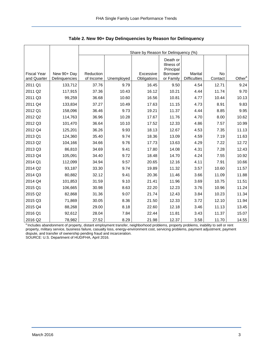|                    |               | Share by Reason for Delinguency (%) |            |             |                                                        |                     |         |                    |  |  |  |  |
|--------------------|---------------|-------------------------------------|------------|-------------|--------------------------------------------------------|---------------------|---------|--------------------|--|--|--|--|
| <b>Fiscal Year</b> | New 90+ Day   | Reduction                           |            | Excessive   | Death or<br>Illness of<br>Principal<br><b>Borrower</b> | Marital             | No      |                    |  |  |  |  |
| and Quarter        | Delinquencies | of Income                           | Unemployed | Obligations | or Family                                              | <b>Difficulties</b> | Contact | Other <sup>a</sup> |  |  |  |  |
| 2011 Q1            | 133,712       | 37.76                               | 9.79       | 16.45       | 9.50                                                   | 4.54                | 12.71   | 9.24               |  |  |  |  |
| 2011 Q2            | 117,915       | 37.36                               | 10.43      | 16.12       | 10.21                                                  | 4.44                | 11.74   | 9.70               |  |  |  |  |
| 2011 Q3            | 99,259        | 36.68                               | 10.60      | 16.56       | 10.81                                                  | 4.77                | 10.44   | 10.13              |  |  |  |  |
| 2011 Q4            | 133,834       | 37.27                               | 10.49      | 17.63       | 11.15                                                  | 4.73                | 8.91    | 9.83               |  |  |  |  |
| 2012 Q1            | 158,096       | 36.46                               | 9.73       | 19.21       | 11.37                                                  | 4.44                | 8.85    | 9.95               |  |  |  |  |
| 2012 Q2            | 114,763       | 36.96                               | 10.28      | 17.67       | 11.76                                                  | 4.70                | 8.00    | 10.62              |  |  |  |  |
| 2012 Q3            | 101,470       | 36.64                               | 10.10      | 17.52       | 12.33                                                  | 4.86                | 7.57    | 10.99              |  |  |  |  |
| 2012 Q4            | 125,201       | 36.26                               | 9.93       | 18.13       | 12.67                                                  | 4.53                | 7.35    | 11.13              |  |  |  |  |
| 2013 Q1            | 124,360       | 35.40                               | 9.74       | 18.36       | 13.09                                                  | 4.59                | 7.19    | 11.63              |  |  |  |  |
| 2013 Q2            | 104,166       | 34.66                               | 9.76       | 17.73       | 13.63                                                  | 4.29                | 7.22    | 12.72              |  |  |  |  |
| 2013 Q3            | 86,810        | 34.69                               | 9.41       | 17.80       | 14.08                                                  | 4.31                | 7.28    | 12.43              |  |  |  |  |
| 2013 Q4            | 105,091       | 34.40                               | 9.72       | 18.48       | 14.70                                                  | 4.24                | 7.55    | 10.92              |  |  |  |  |
| 2014 Q1            | 112,099       | 34.94                               | 9.57       | 20.65       | 12.16                                                  | 4.11                | 7.91    | 10.66              |  |  |  |  |
| 2014 Q2            | 93,187        | 33.30                               | 9.74       | 19.89       | 11.32                                                  | 3.57                | 10.60   | 11.57              |  |  |  |  |
| 2014 Q3            | 80,882        | 32.12                               | 9.41       | 20.36       | 11.46                                                  | 3.66                | 11.09   | 11.88              |  |  |  |  |
| 2014 Q4            | 101,853       | 31.59                               | 9.10       | 21.41       | 11.96                                                  | 3.69                | 10.75   | 11.51              |  |  |  |  |
| 2015 Q1            | 106,665       | 30.98                               | 8.63       | 22.20       | 12.23                                                  | 3.76                | 10.96   | 11.24              |  |  |  |  |
| 2015 Q2            | 82,868        | 31.36                               | 9.07       | 21.74       | 12.43                                                  | 3.84                | 10.23   | 11.34              |  |  |  |  |
| 2015 Q3            | 71,869        | 30.05                               | 8.36       | 21.50       | 12.33                                                  | 3.72                | 12.10   | 11.94              |  |  |  |  |
| 2015 Q4            | 88,268        | 29.00                               | 8.18       | 22.60       | 12.18                                                  | 3.46                | 11.13   | 13.45              |  |  |  |  |
| 2016 Q1            | 92,612        | 28.04                               | 7.84       | 22.44       | 11.81                                                  | 3.43                | 11.37   | 15.07              |  |  |  |  |
| 2016 Q2            | 78,982        | 27.52                               | 8.29       | 21.98       | 12.37                                                  | 3.58                | 11.70   | 14.55              |  |  |  |  |

<span id="page-3-0"></span>**Table 2. New 90+ Day Delinquencies by Reason for Delinquency** 

a Includes abandonment of property, distant employment transfer, neighborhood problems, property problems, inability to sell or rent property, military service, business failure, casualty loss, energy-environment cost, servicing problems, payment adjustment, payment dispute, and transfer of ownership pending fraud and incarceration. SOURCE: U.S. Department of HUD/FHA, April 2016.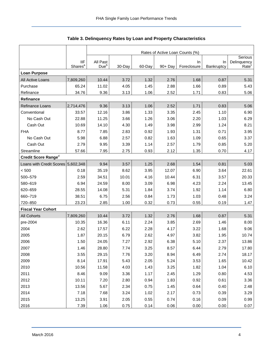|                                    |                                   | Rates of Active Loan Counts (%) |        |        |            |                   |                  |                                  |  |  |  |
|------------------------------------|-----------------------------------|---------------------------------|--------|--------|------------|-------------------|------------------|----------------------------------|--|--|--|
|                                    |                                   |                                 |        |        |            |                   |                  | Serious                          |  |  |  |
|                                    | <b>IIF</b><br>Shares <sup>a</sup> | All Past<br>Due <sup>b</sup>    | 30-Day | 60-Day | $90 + Day$ | In<br>Foreclosure | In<br>Bankruptcy | Delinquency<br>Rate <sup>c</sup> |  |  |  |
| <b>Loan Purpose</b>                |                                   |                                 |        |        |            |                   |                  |                                  |  |  |  |
| All Active Loans                   | 7,809,260                         | 10.44                           | 3.72   | 1.32   | 2.76       | 1.68              | 0.87             | 5.31                             |  |  |  |
| Purchase                           | 65.24                             | 11.02                           | 4.05   | 1.45   | 2.88       | 1.66              | 0.89             | 5.43                             |  |  |  |
| Refinance                          | 34.76                             | 9.36                            | 3.13   | 1.06   | 2.52       | 1.71              | 0.83             | 5.06                             |  |  |  |
| Refinance                          |                                   |                                 |        |        |            |                   |                  |                                  |  |  |  |
| <b>Refinance Loans</b>             | 2,714,476                         | 9.36                            | 3.13   | 1.06   | 2.52       | 1.71              | 0.83             | 5.06                             |  |  |  |
| Conventional                       | 33.57                             | 12.16                           | 3.86   | 1.33   | 3.35       | 2.45              | 1.10             | 6.90                             |  |  |  |
| No Cash Out                        | 22.88                             | 11.25                           | 3.66   | 1.26   | 3.06       | 2.20              | 1.03             | 6.29                             |  |  |  |
| Cash Out                           | 10.69                             | 14.10                           | 4.30   | 1.49   | 3.98       | 2.99              | 1.24             | 8.21                             |  |  |  |
| <b>FHA</b>                         | 8.77                              | 7.85                            | 2.83   | 0.92   | 1.93       | 1.31              | 0.71             | 3.95                             |  |  |  |
| No Cash Out                        | 5.98                              | 6.88                            | 2.57   | 0.82   | 1.63       | 1.09              | 0.65             | 3.37                             |  |  |  |
| Cash Out                           | 2.79                              | 9.95                            | 3.39   | 1.14   | 2.57       | 1.79              | 0.85             | 5.20                             |  |  |  |
| Streamline                         | 57.66                             | 7.95                            | 2.75   | 0.93   | 2.12       | 1.35              | 0.70             | 4.17                             |  |  |  |
| Credit Score Ranged                |                                   |                                 |        |        |            |                   |                  |                                  |  |  |  |
| Loans with Credit Scores 5,602,348 |                                   | 9.94                            | 3.57   | 1.25   | 2.68       | 1.54              | 0.81             | 5.03                             |  |  |  |
| < 500                              | 0.18                              | 35.19                           | 8.62   | 3.95   | 12.07      | 6.90              | 3.64             | 22.61                            |  |  |  |
| 500-579                            | 2.59                              | 34.51                           | 10.01  | 4.16   | 10.44      | 6.31              | 3.57             | 20.33                            |  |  |  |
| 580-619                            | 6.94                              | 24.59                           | 8.00   | 3.09   | 6.98       | 4.23              | 2.24             | 13.45                            |  |  |  |
| 620-659                            | 28.55                             | 14.08                           | 5.31   | 1.84   | 3.74       | 1.92              | 1.14             | 6.80                             |  |  |  |
| 660-719                            | 38.51                             | 6.75                            | 2.56   | 0.84   | 1.73       | 1.03              | 0.48             | 3.24                             |  |  |  |
| 720-850                            | 23.23                             | 2.85                            | 1.00   | 0.32   | 0.73       | 0.55              | 0.19             | 1.47                             |  |  |  |
| <b>Fiscal Year Cohort</b>          |                                   |                                 |        |        |            |                   |                  |                                  |  |  |  |
| All Cohorts                        | 7,809,260                         | 10.44                           | 3.72   | 1.32   | 2.76       | 1.68              | 0.87             | 5.31                             |  |  |  |
| pre-2004                           | 10.35                             | 16.36                           | 6.11   | 2.24   | 3.85       | 2.69              | 1.46             | 8.00                             |  |  |  |
| 2004                               | 2.62                              | 17.57                           | 6.22   | 2.28   | 4.17       | 3.22              | 1.68             | 9.06                             |  |  |  |
| 2005                               | 1.87                              | 20.15                           | 6.79   | 2.62   | 4.97       | 3.82              | 1.95             | 10.74                            |  |  |  |
| 2006                               | 1.50                              | 24.05                           | 7.27   | 2.92   | 6.38       | 5.10              | 2.37             | 13.86                            |  |  |  |
| 2007                               | 1.46                              | 28.80                           | 7.74   | 3.25   | 8.57       | 6.44              | 2.79             | 17.80                            |  |  |  |
| 2008                               | 3.55                              | 29.15                           | 7.76   | 3.20   | 8.94       | 6.49              | 2.74             | 18.17                            |  |  |  |
| 2009                               | 8.14                              | 17.91                           | 5.43   | 2.05   | 5.24       | 3.53              | 1.65             | 10.42                            |  |  |  |
| 2010                               | 10.56                             | 11.58                           | 4.03   | 1.43   | 3.25       | 1.82              | 1.04             | 6.10                             |  |  |  |
| 2011                               | 8.46                              | 9.09                            | 3.36   | 1.17   | 2.45       | 1.29              | 0.80             | 4.53                             |  |  |  |
| 2012                               | 10.11                             | 7.20                            | 2.80   | 0.94   | 1.83       | 0.92              | 0.61             | 3.36                             |  |  |  |
| 2013                               | 13.56                             | 5.67                            | 2.34   | 0.75   | 1.45       | 0.64              | 0.40             | 2.48                             |  |  |  |
| 2014                               | 7.18                              | 7.68                            | 3.24   | 1.02   | 2.17       | 0.73              | 0.39             | 3.29                             |  |  |  |
| 2015                               | 13.25                             | 3.91                            | 2.05   | 0.55   | 0.74       | 0.16              | 0.09             | 0.99                             |  |  |  |
| 2016                               | 7.39                              | 1.06                            | 0.75   | 0.14   | 0.06       | 0.00              | 0.00             | 0.07                             |  |  |  |

## <span id="page-4-0"></span>**Table 3. Delinquency Rates by Loan and Property Characteristics**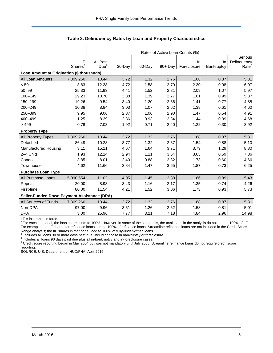|                                             |                     | Rates of Active Loan Counts (%) |        |        |            |             |            |                   |  |  |  |
|---------------------------------------------|---------------------|---------------------------------|--------|--------|------------|-------------|------------|-------------------|--|--|--|
|                                             |                     |                                 |        |        |            |             |            | Serious           |  |  |  |
|                                             | <b>IIF</b>          | All Past                        |        |        |            | In.         | In         | Delinquency       |  |  |  |
|                                             | Shares <sup>a</sup> | Due <sup>b</sup>                | 30-Day | 60-Day | $90 + Day$ | Foreclosure | Bankruptcy | Rate <sup>c</sup> |  |  |  |
| Loan Amount at Origination (\$ thousands)   |                     |                                 |        |        |            |             |            |                   |  |  |  |
| All Loan Amounts                            | 7,809,260           | 10.44                           | 3.72   | 1.32   | 2.76       | 1.68        | 0.87       | 5.31              |  |  |  |
| < 50                                        | 3.83                | 12.38                           | 4.72   | 1.58   | 2.79       | 2.30        | 0.98       | 6.07              |  |  |  |
| $50 - 99$                                   | 25.33               | 11.93                           | 4.41   | 1.52   | 2.81       | 2.09        | 1.07       | 5.97              |  |  |  |
| 100-149                                     | 29.23               | 10.70                           | 3.88   | 1.39   | 2.77       | 1.61        | 0.99       | 5.37              |  |  |  |
| 150-199                                     | 19.26               | 9.54                            | 3.40   | 1.20   | 2.66       | 1.41        | 0.77       | 4.85              |  |  |  |
| 200-249                                     | 10.38               | 8.84                            | 3.03   | 1.07   | 2.62       | 1.38        | 0.61       | 4.60              |  |  |  |
| 250-399                                     | 9.95                | 9.06                            | 2.87   | 1.06   | 2.90       | 1.47        | 0.54       | 4.91              |  |  |  |
| 400-499                                     | 1.25                | 8.39                            | 2.36   | 0.93   | 2.84       | 1.44        | 0.39       | 4.68              |  |  |  |
| >499                                        | 0.78                | 7.03                            | 1.92   | 0.71   | 2.40       | 1.22        | 0.30       | 3.92              |  |  |  |
| <b>Property Type</b>                        |                     |                                 |        |        |            |             |            |                   |  |  |  |
| <b>All Property Types</b>                   | 7,809,260           | 10.44                           | 3.72   | 1.32   | 2.76       | 1.68        | 0.87       | 5.31              |  |  |  |
| Detached                                    | 86.49               | 10.28                           | 3.77   | 1.32   | 2.67       | 1.54        | 0.88       | 5.10              |  |  |  |
| Manufactured Housing                        | 3.11                | 15.11                           | 4.67   | 1.64   | 3.71       | 3.79        | 1.29       | 8.80              |  |  |  |
| 2-4 Units                                   | 1.93                | 12.14                           | 2.94   | 1.11   | 3.64       | 3.63        | 0.59       | 7.86              |  |  |  |
| Condo                                       | 3.85                | 8.01                            | 2.40   | 0.88   | 2.32       | 1.73        | 0.60       | 4.66              |  |  |  |
| Townhouse                                   | 4.62                | 11.66                           | 3.84   | 1.47   | 3.65       | 1.87        | 0.73       | 6.25              |  |  |  |
| <b>Purchase Loan Type</b>                   |                     |                                 |        |        |            |             |            |                   |  |  |  |
| All Purchase Loans                          | 5,090,554           | 11.02                           | 4.05   | 1.45   | 2.88       | 1.66        | 0.89       | 5.43              |  |  |  |
| Repeat                                      | 20.00               | 8.93                            | 3.43   | 1.16   | 2.17       | 1.35        | 0.74       | 4.26              |  |  |  |
| First-time                                  | 80.00               | 11.54                           | 4.21   | 1.52   | 3.06       | 1.73        | 0.93       | 5.73              |  |  |  |
| Seller-Funded Down Payment Assistance (DPA) |                     |                                 |        |        |            |             |            |                   |  |  |  |
| All Sources of Funds                        | 7,809,260           | 10.44                           | 3.72   | 1.32   | 2.76       | 1.68        | 0.87       | 5.31              |  |  |  |
| Non-DPA                                     | 97.00               | 9.96                            | 3.61   | 1.26   | 2.62       | 1.58        | 0.81       | 5.01              |  |  |  |
| <b>DPA</b>                                  | 3.00                | 25.96                           | 7.77   | 3.21   | 7.18       | 4.84        | 2.96       | 14.98             |  |  |  |

**Table 3. Delinquency Rates by Loan and Property Characteristics** 

IIF = insurance in force.

<sup>a</sup> For each subpanel, the loan shares sum to 100%. However, in some of the subpanels, the total loans in the analysis do not sum to 100% of IIF. For example, the IIF shares for refinance loans sum to 100% of refinance loans. Streamline refinance loans are not included in the Credit Score

Range analysis; the IIF shares in that panel, add to 100% of fully-underwritten loans.<br><sup>b</sup> Includes all loans 30 or more days past due, including those in bankruptcy or foreclosure.

<sup>c</sup> Includes all loans 90 days past due plus all in-bankruptcy and in-foreclosure cases.<br><sup>d</sup> Credit score reporting began in May 2004 but was not mandatory until July 2008. Streamline refinance loans do not require credit reporting.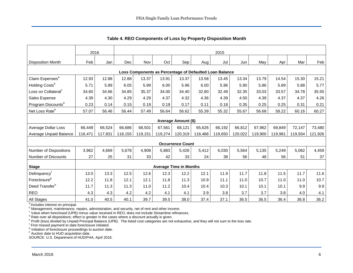|                                                         | 2016<br>2015 |         |            |         |         |                               |         |         |         |         |         |         |         |
|---------------------------------------------------------|--------------|---------|------------|---------|---------|-------------------------------|---------|---------|---------|---------|---------|---------|---------|
| <b>Disposition Month</b>                                | Feb          | Jan     | <b>Dec</b> | Nov     | Oct     | Sep                           | Aug     | Jul     | Jun     | May     | Apr     | Mar     | Feb     |
| Loss Components as Percentage of Defaulted Loan Balance |              |         |            |         |         |                               |         |         |         |         |         |         |         |
| Claim Expenses <sup>a</sup>                             | 12.93        | 12.88   | 12.88      | 13.37   | 13.91   | 13.37                         | 13.58   | 13.45   | 13.34   | 13.79   | 14.54   | 15.30   | 15.21   |
| Holding Costs <sup>b</sup>                              | 5.71         | 5.89    | 6.05       | 5.99    | 6.00    | 5.96                          | 6.00    | 5.96    | 5.90    | 5.86    | 5.89    | 5.88    | 5.77    |
| Loss on Collateral <sup>c</sup>                         | 34.60        | 34.66   | 34.85      | 35.37   | 34.00   | 34.40                         | 32.80   | 32.49   | 32.35   | 33.03   | 33.57   | 34.78   | 35.55   |
| Sales Expense                                           | 4.39         | 4.30    | 4.29       | 4.29    | 4.37    | 4.32                          | 4.36    | 4.39    | 4.50    | 4.39    | 4.37    | 4.37    | 4.26    |
| Program Discounts <sup>d</sup>                          | 0.23         | 0.14    | 0.15       | 0.19    | 0.19    | 0.17                          | 0.11    | 0.18    | 0.35    | 0.25    | 0.25    | 0.31    | 0.21    |
| Net Loss Rate <sup>e</sup>                              | 57.07        | 56.46   | 56.44      | 57.49   | 56.64   | 56.62                         | 55.39   | 55.32   | 55.67   | 56.68   | 58.22   | 60.16   | 60.27   |
|                                                         |              |         |            |         |         |                               |         |         |         |         |         |         |         |
|                                                         |              |         |            |         |         | Average Amount (\$)           |         |         |         |         |         |         |         |
| Average Dollar Loss                                     | 66,449       | 66,524  | 66,686     | 68,501  | 67,561  | 68,121                        | 65,626  | 66,192  | 66,812  | 67,962  | 69,849  | 72,147  | 73,480  |
| Average Unpaid Balance                                  | 116,471      | 117,831 | 118,155    | 119,151 | 119,274 | 120,319                       | 118,488 | 119,650 | 120,022 | 119,900 | 119,981 | 119,934 | 121,926 |
|                                                         |              |         |            |         |         | <b>Occurrence Count</b>       |         |         |         |         |         |         |         |
| Number of Dispositions                                  | 3,962        | 4,669   | 5,678      | 4,908   | 5,883   | 5,426                         | 5,412   | 6,030   | 5,564   | 5,135   | 5,249   | 5,082   | 4,459   |
| Number of Discounts                                     | 27           | 25      | 31         | 33      | 42      | 33                            | 24      | 38      | 56      | 48      | 56      | 51      | 37      |
| <b>Stage</b>                                            |              |         |            |         |         | <b>Average Time in Months</b> |         |         |         |         |         |         |         |
| Delinquency <sup>f</sup>                                | 13.0         | 13.3    | 12.5       | 12.6    | 12.3    | 12.2                          | 12.1    | 11.9    | 11.7    | 11.8    | 11.5    | 11.7    | 11.6    |
| Foreclosure <sup>g</sup>                                | 12.2         | 11.8    | 12.1       | 12.1    | 11.8    | 11.3                          | 10.9    | 11.1    | 11.0    | 10.7    | 11.0    | 11.0    | 10.7    |
| Deed Transferh                                          | 11.7         | 11.3    | 11.3       | 11.0    | 11.2    | 10.4                          | 10.4    | 10.3    | 10.1    | 10.1    | 10.1    | 9.9     | 9.9     |
| <b>REO</b>                                              | 4.3          | 4.3     | 4.2        | 4.2     | 4.1     | 4.1                           | 3.9     | 3.8     | 3.7     | 3.7     | 3.8     | 4.0     | 4.1     |
| All Stages                                              | 41.0         | 40.5    | 40.1       | 39.7    | 39.5    | 38.0                          | 37.4    | 37.1    | 36.5    | 36.5    | 36.4    | 36.8    | 36.2    |

<span id="page-6-0"></span>**Table 4. REO Components of Loss by Property Disposition Month** 

 $a$  Includes interest on principal.

<sup>b</sup> Management, maintenance, repairs, administration, and security, net of rent and other income.<br><sup>c</sup> Value when foreclosed (UPB) minus value received in REO; does not include Streamline refinances.

<sup>d</sup> Rate over all dispositions; effect is greater in the cases where a discount actually is given.

<sup>e</sup> Profit (loss) divided by Unpaid Principal Balance (UPB). The listed cost categories are not exhaustive, and they will not sum to the loss rate.

<sup>f</sup> First missed payment to date foreclosure initiated.

<sup>g</sup> Initiation of foreclosure proceedings to auction date.

h Auction date to HUD acquisition date.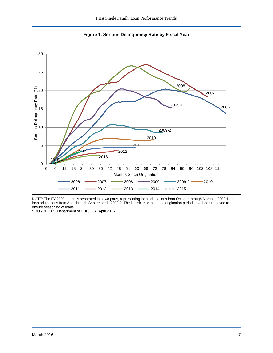

<span id="page-7-0"></span>

NOTE: The FY 2009 cohort is separated into two parts, representing loan originations from October through March in 2009-1 and loan originations from April through September in 2009-2. The last six months of the origination period have been removed to ensure seasoning of loans.